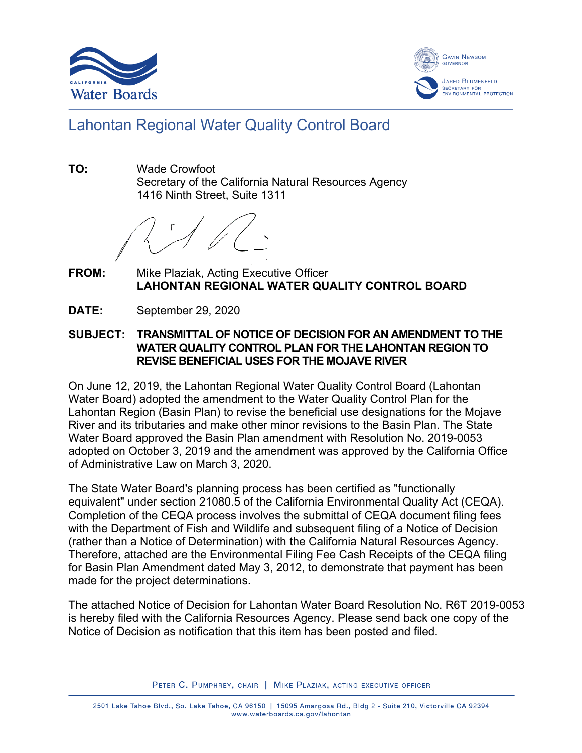



## Lahontan Regional Water Quality Control Board

**TO:** Wade Crowfoot Secretary of the California Natural Resources Agency 1416 Ninth Street, Suite 1311

**FROM:** Mike Plaziak, Acting Executive Officer **LAHONTAN REGIONAL WATER QUALITY CONTROL BOARD**

**DATE:** September 29, 2020

## **SUBJECT: TRANSMITTAL OF NOTICE OF DECISION FOR AN AMENDMENT TO THE WATER QUALITY CONTROL PLAN FOR THE LAHONTAN REGION TO REVISE BENEFICIAL USES FOR THE MOJAVE RIVER**

On June 12, 2019, the Lahontan Regional Water Quality Control Board (Lahontan Water Board) adopted the amendment to the Water Quality Control Plan for the Lahontan Region (Basin Plan) to revise the beneficial use designations for the Mojave River and its tributaries and make other minor revisions to the Basin Plan. The State Water Board approved the Basin Plan amendment with Resolution No. 2019-0053 adopted on October 3, 2019 and the amendment was approved by the California Office of Administrative Law on March 3, 2020.

The State Water Board's planning process has been certified as "functionally equivalent" under section 21080.5 of the California Environmental Quality Act (CEQA). Completion of the CEQA process involves the submittal of CEQA document filing fees with the Department of Fish and Wildlife and subsequent filing of a Notice of Decision (rather than a Notice of Determination) with the California Natural Resources Agency. Therefore, attached are the Environmental Filing Fee Cash Receipts of the CEQA filing for Basin Plan Amendment dated May 3, 2012, to demonstrate that payment has been made for the project determinations.

The attached Notice of Decision for Lahontan Water Board Resolution No. R6T 2019-0053 is hereby filed with the California Resources Agency. Please send back one copy of the Notice of Decision as notification that this item has been posted and filed.

PETER C. PUMPHREY, CHAIR | MIKE PLAZIAK, ACTING EXECUTIVE OFFICER